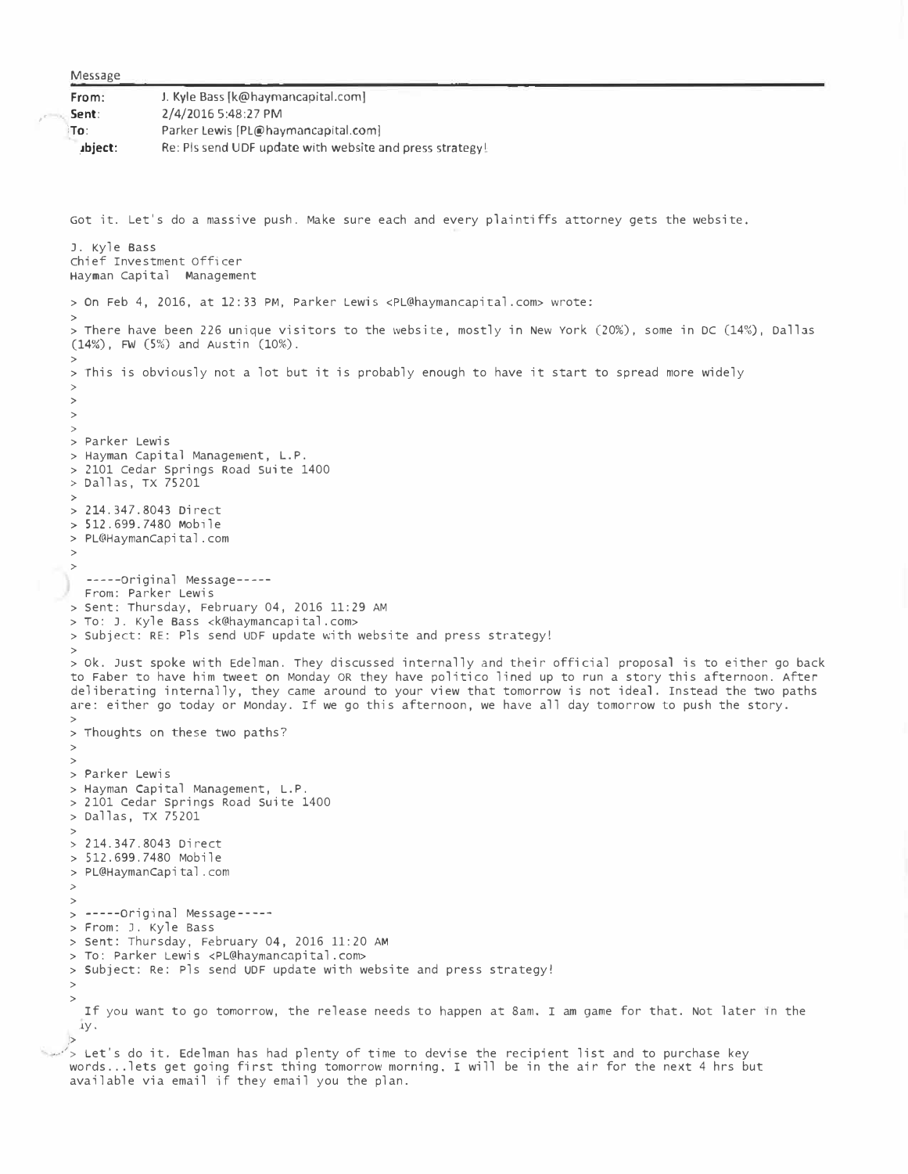Message

,.

| J. Kyle Bass [k@haymancapital.com]                       |
|----------------------------------------------------------|
| 2/4/2016 5:48:27 PM                                      |
| Parker Lewis (PL@haymancapital.com)                      |
| Re: Pls send UDF update with website and press strategy! |
|                                                          |

Got it. Let's do a massive push. Make sure each and every plaintiffs attorney gets the website. J. Kyle Bass chief Investment officer Hayman Capital Management > On Feb 4, 2016, at 12:33 PM, Parker Lewis <[PL@haymancapital.com>](mailto:PL@haymancapital.com) wrote: > > There have been 226 unique visitors to the website, mostly in New York (20%), some in DC (14%), Dallas **(14%),** FW **(5%)** and Austin (10%). > > This is obviously not a lot but it is probably enough to have it start to spread more widely > > > > > Parker Lewis > Hayman capital Management, L.P. > 2101 cedar springs Road suite 1400  $>$  Dallas, TX 75201 > > 214.347.8043 Direct > 512.699.7480 Mobile > [PL@HaymanCapital.com](mailto:PL@HaymanCapital.com) > > -----original Message---- From: Parker Lewis > Sent: Thursday, February 04, 2016 11:29 AM > To: J. Kyle Bass <[k@haymancapital.com](mailto:k@haymancapital.com)> > subject: RE: Pls send UDF update with website and press strategy! > > ok. Just spoke with Edelman. They discussed internally and their official proposal is to either go back to Faber to have him tweet on Monday OR they have politico lined up to run a story this afternoon. After deliberating internally, they came around to your view that tomorrow is not ideal. Instead the two paths are: either go today or Monday. If we go this afternoon, we have all day tomorrow to push the story. > > Thoughts on these two paths? > > > Parker Lewis > Hayman Capital Management, L.P. > 2101 cedar Springs Road Suite 1400 > Dallas, TX 75201 > > 214.347.8043 Direct > 512.699.7480 Mobile > PL@HaymanCapital.com *>*  > > -----original Message---- > From: J. Kyle Bass > sent: Thursday, February 04, 2016 11:20 AM > To: Parker Lewis <[PL@haymancapital.com>](mailto:PL@haymancapital.com) > subject: Re: Pls send UDF update with website and press strategy! > > If you want to go tomorrow, the release needs to happen at 8am. I am game for that. Not later 1n the .J.y.

**,>**  -·'> Let's do it. Edelman has had plenty of time to devise the recipient list and to purchase key words ... lets get going first thing tomorrow morning. I will be in the air for the next 4 hrs but available via email if they email you the plan.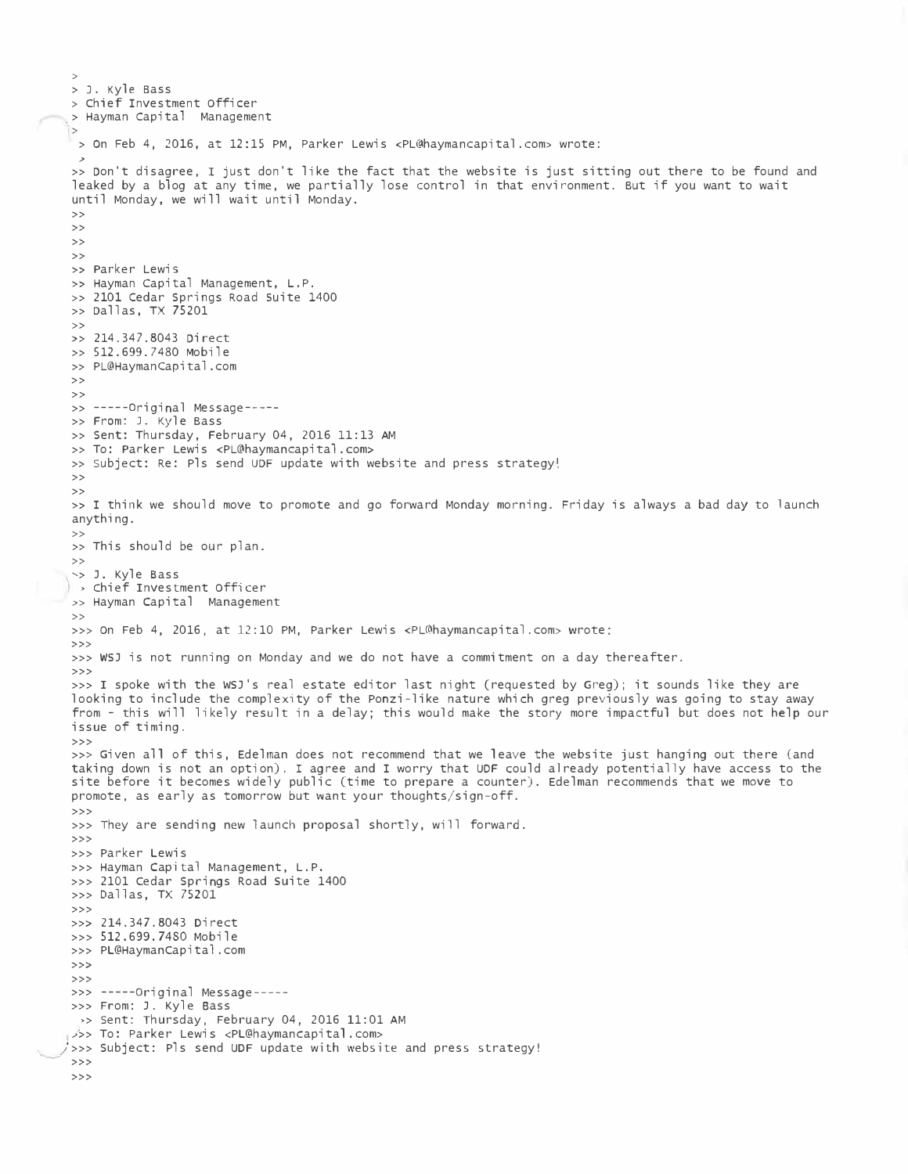```
> J. Kyle Bass
> chief Investment officer 
> Hayman Capital Management
I> 
 > On Feb 4, 2016, at 12:15 PM, Parker Lewis <PL@haymancapital.com> wrote:
  ,> 
 >> Don't disagree, I just don't like the fact that the website is just sitting out there to be found and 
 leaked by a blog at any time, we partially lose control in that environment. But if you want to wait 
 until Monday, we will wait until Monday.
>>
\rightarrow>>
>> 
» Parker Lewis
» Hayman Capital Management, L.P.
>> 2101 Cedar Springs Road suite 1400
>> Dallas, TX 75201
>>
>> 214.347.8043 Direct
>> 512.699.7480 Mobile
 >> PL@HaymanCapital.com
>>
>> 
>> -----original Message----
>> From: J. Kyle Bass
>> Sent: Thursday, February 04, 2016 11:13 AM 
>> To: Parker Lewis <PL@haymancapital.com>
>> Subject: Re: Pls send UDF update with website and press strategy!
>>
>>
» I think we should move to promote and go forward Monday morning. Friday is always a bad day to launch
anything.
>> 
>> This should be our plan. 
>>
'> J. Kyle Bass
, chief Investment officer 
>> Hayman Capital Management
>>
>>> on Feb 4, 2016, at 12:10 PM, Parker Lewis <PL@haymancapital.com> wrote:
>>>
>>> WSJ is not running on Monday and we do not have a commitment on a day thereafter.
>>>
>>> I spoke with the WSJ's real estate editor last night (requested by Greg); it sounds like they are
looking to include the complexity of the Ponzi-like nature which greg previously was going to stay away 
 from - this will likely result in a delay; this would make the story more impactful but does not help our 
issue of timing.
>>>
 >>> Given all of this, Edelman does not recommend that we leave the website just hanging out there (and
 taking down is not an option). I agree and I worry that UDF could already potentially have access to the
 site before it becomes widely public (time to prepare a counter). Edelman recommends that we move to
promote, as early as tomorrow but want your thoughts/sign-off.
>>>
>>> They are sending new launch proposal shortly, will forward.
>>>
>>> Parker Lewis
>>> Hayman Capital Management, L.P.
>>> 2101 Cedar Springs Road Suite 1400
>>> Dallas, TX 75201
>>>
>>> 214.347.8043 Direct
>>> 512.699.7480 Mobile
>>> PL@Haymancapital.com
>>> 
>>> 
>>> -----original Message----
>>> From: J. Kyle Bass 
  ,> sent: Thursday, February 04, 2016 11:01 AM 
 1>>> To: Parker Lewis <PL@haymancapital.com> 
/>>> Subject: Pls send UDF update with website and press strategy!
>>> 
>>>
```
>